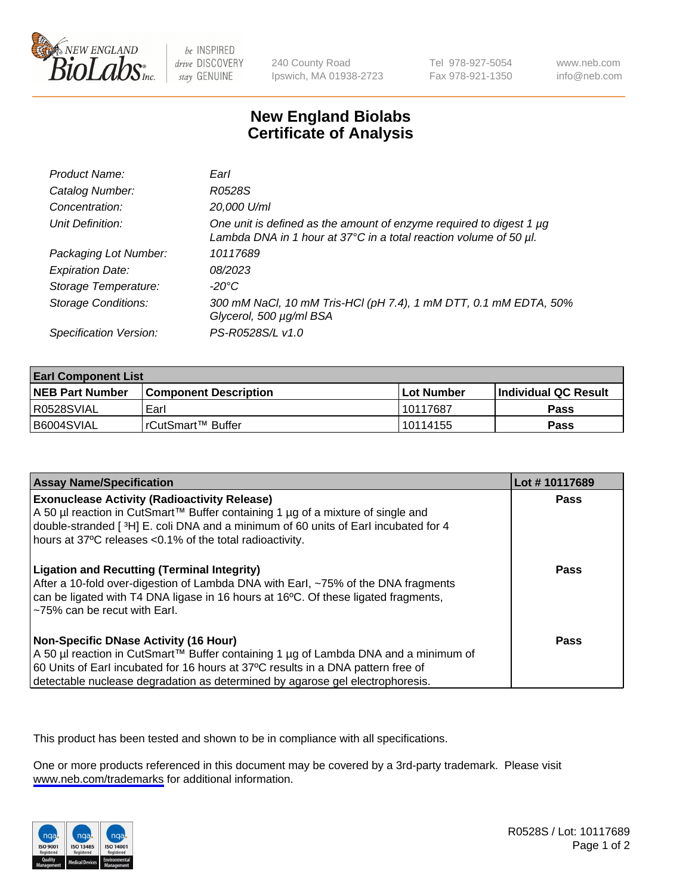

be INSPIRED drive DISCOVERY stay GENUINE

240 County Road Ipswich, MA 01938-2723 Tel 978-927-5054 Fax 978-921-1350

www.neb.com info@neb.com

## **New England Biolabs Certificate of Analysis**

| Product Name:              | Earl                                                                                                                                                         |
|----------------------------|--------------------------------------------------------------------------------------------------------------------------------------------------------------|
| Catalog Number:            | R0528S                                                                                                                                                       |
| Concentration:             | 20,000 U/ml                                                                                                                                                  |
| Unit Definition:           | One unit is defined as the amount of enzyme required to digest 1 $\mu$ g<br>Lambda DNA in 1 hour at $37^{\circ}$ C in a total reaction volume of 50 $\mu$ l. |
| Packaging Lot Number:      | 10117689                                                                                                                                                     |
| <b>Expiration Date:</b>    | 08/2023                                                                                                                                                      |
| Storage Temperature:       | -20°C                                                                                                                                                        |
| <b>Storage Conditions:</b> | 300 mM NaCl, 10 mM Tris-HCl (pH 7.4), 1 mM DTT, 0.1 mM EDTA, 50%<br>Glycerol, 500 µg/ml BSA                                                                  |
| Specification Version:     | PS-R0528S/L v1.0                                                                                                                                             |

| <b>Earl Component List</b> |                         |              |                             |  |
|----------------------------|-------------------------|--------------|-----------------------------|--|
| <b>NEB Part Number</b>     | l Component Description | l Lot Number | <b>Individual QC Result</b> |  |
| R0528SVIAL                 | Earl                    | l 10117687   | Pass                        |  |
| B6004SVIAL                 | IrCutSmart™ Buffer_     | 10114155     | Pass                        |  |

| <b>Assay Name/Specification</b>                                                                                                                                                                                                                                                                            | Lot #10117689 |
|------------------------------------------------------------------------------------------------------------------------------------------------------------------------------------------------------------------------------------------------------------------------------------------------------------|---------------|
| <b>Exonuclease Activity (Radioactivity Release)</b><br>A 50 µl reaction in CutSmart™ Buffer containing 1 µg of a mixture of single and<br>double-stranded [3H] E. coli DNA and a minimum of 60 units of Earl incubated for 4<br>hours at 37°C releases <0.1% of the total radioactivity.                   | Pass          |
| <b>Ligation and Recutting (Terminal Integrity)</b><br>After a 10-fold over-digestion of Lambda DNA with Earl, ~75% of the DNA fragments<br>can be ligated with T4 DNA ligase in 16 hours at 16 <sup>o</sup> C. Of these ligated fragments,<br>~75% can be recut with Earl.                                 | Pass          |
| <b>Non-Specific DNase Activity (16 Hour)</b><br>  A 50 µl reaction in CutSmart™ Buffer containing 1 µg of Lambda DNA and a minimum of<br>60 Units of Earl incubated for 16 hours at 37°C results in a DNA pattern free of<br>detectable nuclease degradation as determined by agarose gel electrophoresis. | Pass          |

This product has been tested and shown to be in compliance with all specifications.

One or more products referenced in this document may be covered by a 3rd-party trademark. Please visit <www.neb.com/trademarks>for additional information.